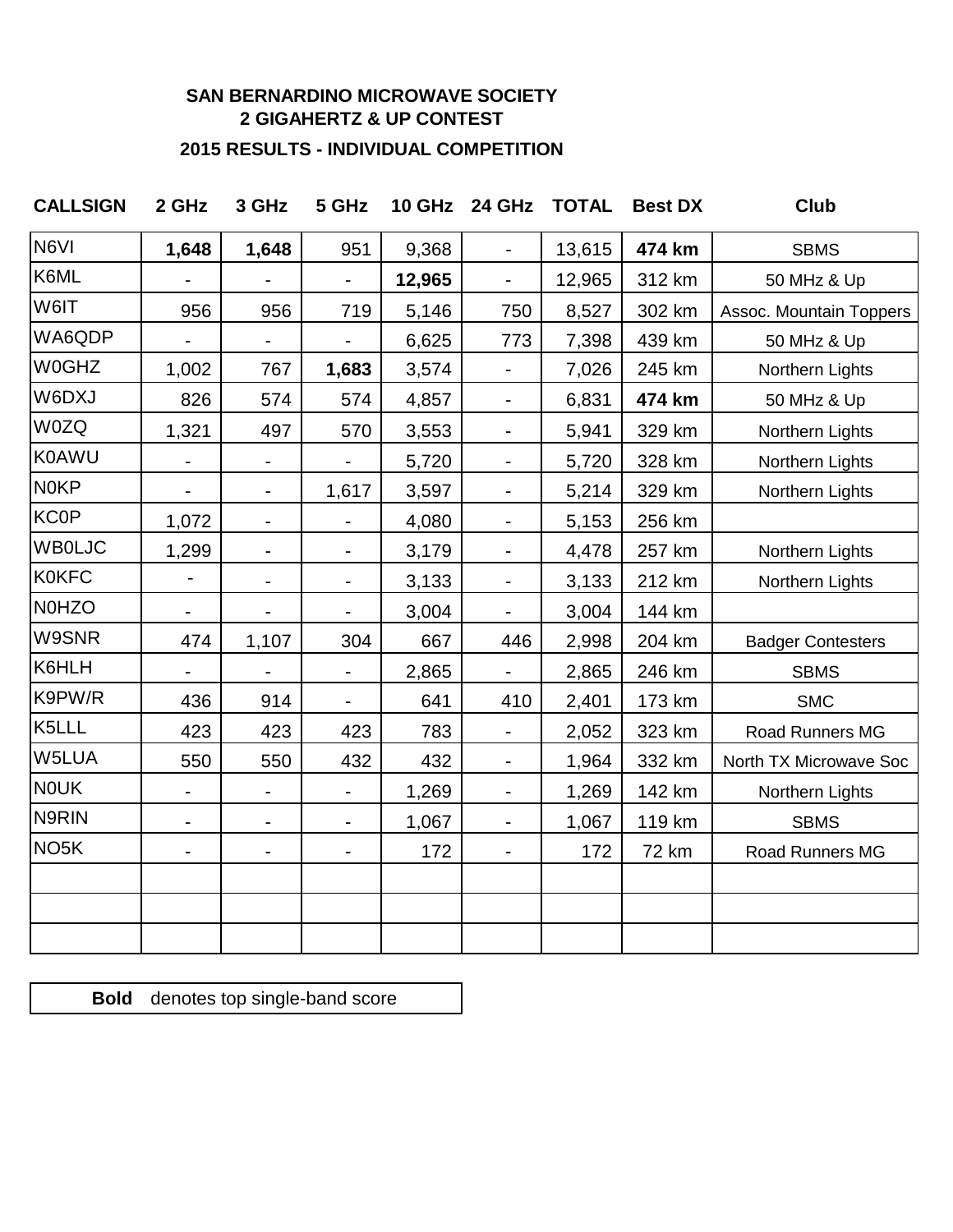## **SAN BERNARDINO MICROWAVE SOCIETY 2 GIGAHERTZ & UP CONTEST**

## **2015 RESULTS - INDIVIDUAL COMPETITION**

| <b>CALLSIGN</b>   | 2 GHz          | 3 GHz                    | 5 GHz                        | <b>10 GHz</b> | 24 GHz                   | <b>TOTAL</b> | <b>Best DX</b> | <b>Club</b>              |
|-------------------|----------------|--------------------------|------------------------------|---------------|--------------------------|--------------|----------------|--------------------------|
| N6VI              | 1,648          | 1,648                    | 951                          | 9,368         | $\blacksquare$           | 13,615       | 474 km         | <b>SBMS</b>              |
| K6ML              |                |                          |                              | 12,965        | $\blacksquare$           | 12,965       | 312 km         | 50 MHz & Up              |
| W6IT              | 956            | 956                      | 719                          | 5,146         | 750                      | 8,527        | 302 km         | Assoc. Mountain Toppers  |
| WA6QDP            |                | $\overline{\phantom{0}}$ | $\blacksquare$               | 6,625         | 773                      | 7,398        | 439 km         | 50 MHz & Up              |
| <b>W0GHZ</b>      | 1,002          | 767                      | 1,683                        | 3,574         |                          | 7,026        | 245 km         | Northern Lights          |
| W6DXJ             | 826            | 574                      | 574                          | 4,857         | $\blacksquare$           | 6,831        | 474 km         | 50 MHz & Up              |
| W0ZQ              | 1,321          | 497                      | 570                          | 3,553         | $\overline{\phantom{a}}$ | 5,941        | 329 km         | Northern Lights          |
| <b>K0AWU</b>      |                | ۰                        |                              | 5,720         | $\blacksquare$           | 5,720        | 328 km         | Northern Lights          |
| <b>N0KP</b>       |                | ۰                        | 1,617                        | 3,597         | ۰                        | 5,214        | 329 km         | Northern Lights          |
| <b>KC0P</b>       | 1,072          | $\blacksquare$           |                              | 4,080         | ۰                        | 5,153        | 256 km         |                          |
| <b>WBOLJC</b>     | 1,299          | $\blacksquare$           | $\frac{1}{2}$                | 3,179         | ۰                        | 4,478        | 257 km         | Northern Lights          |
| <b>K0KFC</b>      | $\overline{a}$ | ۰                        | $\frac{1}{2}$                | 3,133         | $\blacksquare$           | 3,133        | 212 km         | Northern Lights          |
| <b>N0HZO</b>      |                | $\overline{\phantom{0}}$ |                              | 3,004         | $\blacksquare$           | 3,004        | 144 km         |                          |
| W9SNR             | 474            | 1,107                    | 304                          | 667           | 446                      | 2,998        | 204 km         | <b>Badger Contesters</b> |
| K6HLH             |                |                          | $\blacksquare$               | 2,865         | $\blacksquare$           | 2,865        | 246 km         | <b>SBMS</b>              |
| K9PW/R            | 436            | 914                      | $\blacksquare$               | 641           | 410                      | 2,401        | 173 km         | <b>SMC</b>               |
| K5LLL             | 423            | 423                      | 423                          | 783           | $\blacksquare$           | 2,052        | 323 km         | Road Runners MG          |
| W5LUA             | 550            | 550                      | 432                          | 432           | $\blacksquare$           | 1,964        | 332 km         | North TX Microwave Soc   |
| <b>NOUK</b>       | $\blacksquare$ | ۰                        | $\qquad \qquad \blacksquare$ | 1,269         | $\blacksquare$           | 1,269        | 142 km         | Northern Lights          |
| N9RIN             | $\blacksquare$ | $\overline{\phantom{0}}$ | -                            | 1,067         | $\blacksquare$           | 1,067        | 119 km         | <b>SBMS</b>              |
| NO <sub>5</sub> K | -              | ۰                        | ۰                            | 172           | $\blacksquare$           | 172          | <b>72 km</b>   | Road Runners MG          |
|                   |                |                          |                              |               |                          |              |                |                          |
|                   |                |                          |                              |               |                          |              |                |                          |

**Bold** denotes top single-band score